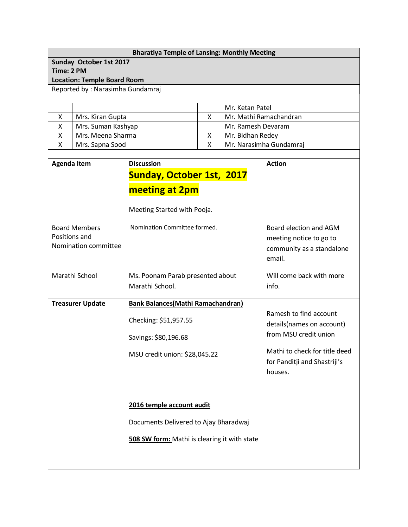## **Bharatiya Temple of Lansing: Monthly Meeting**

**Sunday October 1st 2017**

**Time: 2 PM**

**Location: Temple Board Room**

Reported by : Narasimha Gundamraj

|                    | Mr. Ketan Patel         |
|--------------------|-------------------------|
| Mrs. Kiran Gupta   | Mr. Mathi Ramachandran  |
| Mrs. Suman Kashyap | Mr. Ramesh Devaram      |
| Mrs. Meena Sharma  | Mr. Bidhan Redey        |
| Mrs. Sapna Sood    | Mr. Narasimha Gundamraj |

| <b>Agenda Item</b>                                            | <b>Discussion</b>                                           | <b>Action</b>                                                                  |
|---------------------------------------------------------------|-------------------------------------------------------------|--------------------------------------------------------------------------------|
|                                                               | <b>Sunday, October 1st, 2017</b><br>meeting at 2pm          |                                                                                |
| <b>Board Members</b><br>Positions and<br>Nomination committee | Meeting Started with Pooja.<br>Nomination Committee formed. | Board election and AGM<br>meeting notice to go to<br>community as a standalone |
|                                                               |                                                             | email.                                                                         |
| Marathi School                                                | Ms. Poonam Parab presented about<br>Marathi School.         | Will come back with more<br>info.                                              |
| <b>Treasurer Update</b>                                       | <b>Bank Balances(Mathi Ramachandran)</b>                    |                                                                                |
|                                                               | Checking: \$51,957.55                                       | Ramesh to find account<br>details(names on account)                            |
|                                                               | Savings: \$80,196.68                                        | from MSU credit union                                                          |
|                                                               | MSU credit union: \$28,045.22                               | Mathi to check for title deed<br>for Panditji and Shastriji's<br>houses.       |
|                                                               |                                                             |                                                                                |
|                                                               | 2016 temple account audit                                   |                                                                                |
|                                                               | Documents Delivered to Ajay Bharadwaj                       |                                                                                |
|                                                               | 508 SW form: Mathi is clearing it with state                |                                                                                |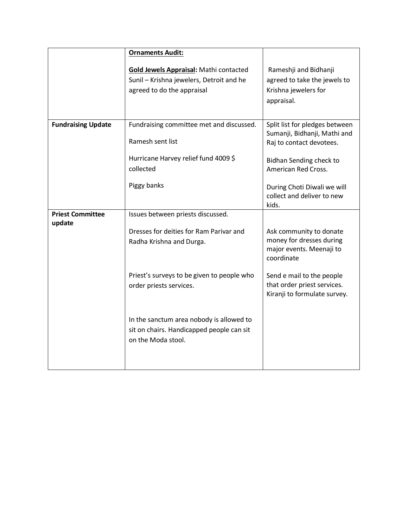|                                   | <b>Ornaments Audit:</b>                                                                                                 |                                                                                               |
|-----------------------------------|-------------------------------------------------------------------------------------------------------------------------|-----------------------------------------------------------------------------------------------|
|                                   | <b>Gold Jewels Appraisal: Mathi contacted</b><br>Sunil - Krishna jewelers, Detroit and he<br>agreed to do the appraisal | Rameshji and Bidhanji<br>agreed to take the jewels to<br>Krishna jewelers for<br>appraisal.   |
| <b>Fundraising Update</b>         | Fundraising committee met and discussed.<br>Ramesh sent list<br>Hurricane Harvey relief fund 4009 \$                    | Split list for pledges between<br>Sumanji, Bidhanji, Mathi and<br>Raj to contact devotees.    |
|                                   | collected                                                                                                               | Bidhan Sending check to<br>American Red Cross.                                                |
|                                   | Piggy banks                                                                                                             | During Choti Diwali we will<br>collect and deliver to new<br>kids.                            |
| <b>Priest Committee</b><br>update | Issues between priests discussed.                                                                                       |                                                                                               |
|                                   | Dresses for deities for Ram Parivar and<br>Radha Krishna and Durga.                                                     | Ask community to donate<br>money for dresses during<br>major events. Meenaji to<br>coordinate |
|                                   | Priest's surveys to be given to people who<br>order priests services.                                                   | Send e mail to the people<br>that order priest services.<br>Kiranji to formulate survey.      |
|                                   | In the sanctum area nobody is allowed to<br>sit on chairs. Handicapped people can sit<br>on the Moda stool.             |                                                                                               |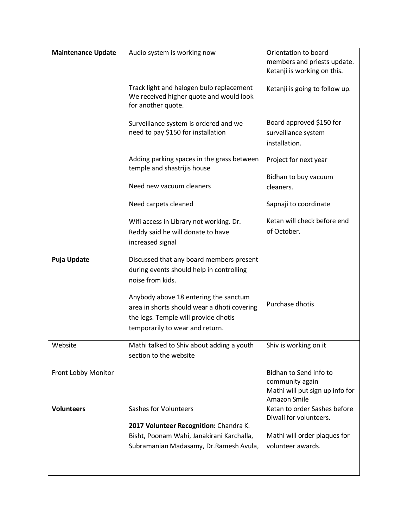| <b>Maintenance Update</b> | Audio system is working now                                                                                                                                     | Orientation to board<br>members and priests update.<br>Ketanji is working on this.           |
|---------------------------|-----------------------------------------------------------------------------------------------------------------------------------------------------------------|----------------------------------------------------------------------------------------------|
|                           | Track light and halogen bulb replacement<br>We received higher quote and would look<br>for another quote.                                                       | Ketanji is going to follow up.                                                               |
|                           | Surveillance system is ordered and we<br>need to pay \$150 for installation                                                                                     | Board approved \$150 for<br>surveillance system<br>installation.                             |
|                           | Adding parking spaces in the grass between<br>temple and shastrijis house                                                                                       | Project for next year                                                                        |
|                           | Need new vacuum cleaners                                                                                                                                        | Bidhan to buy vacuum<br>cleaners.                                                            |
|                           | Need carpets cleaned                                                                                                                                            | Sapnaji to coordinate                                                                        |
|                           | Wifi access in Library not working. Dr.<br>Reddy said he will donate to have<br>increased signal                                                                | Ketan will check before end<br>of October.                                                   |
| <b>Puja Update</b>        | Discussed that any board members present<br>during events should help in controlling<br>noise from kids.                                                        |                                                                                              |
|                           | Anybody above 18 entering the sanctum<br>area in shorts should wear a dhoti covering<br>the legs. Temple will provide dhotis<br>temporarily to wear and return. | Purchase dhotis                                                                              |
| Website                   | Mathi talked to Shiv about adding a youth<br>section to the website                                                                                             | Shiv is working on it                                                                        |
| Front Lobby Monitor       |                                                                                                                                                                 | Bidhan to Send info to<br>community again<br>Mathi will put sign up info for<br>Amazon Smile |
| <b>Volunteers</b>         | Sashes for Volunteers                                                                                                                                           | Ketan to order Sashes before<br>Diwali for volunteers.                                       |
|                           | 2017 Volunteer Recognition: Chandra K.                                                                                                                          |                                                                                              |
|                           | Bisht, Poonam Wahi, Janakirani Karchalla,                                                                                                                       | Mathi will order plaques for<br>volunteer awards.                                            |
|                           | Subramanian Madasamy, Dr. Ramesh Avula,                                                                                                                         |                                                                                              |